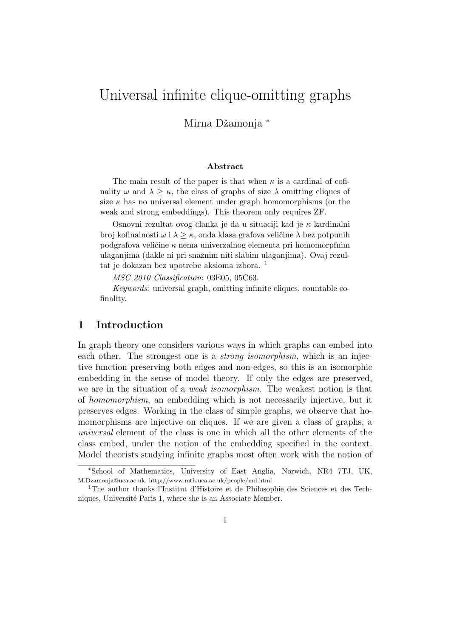# Universal infinite clique-omitting graphs

Mirna Džamonja \*

#### Abstract

The main result of the paper is that when  $\kappa$  is a cardinal of cofinality  $\omega$  and  $\lambda \geq \kappa$ , the class of graphs of size  $\lambda$  omitting cliques of size  $\kappa$  has no universal element under graph homomorphisms (or the weak and strong embeddings). This theorem only requires ZF.

Osnovni rezultat ovog članka je da u situaciji kad je  $\kappa$  kardinalni broj kofinalnosti  $\omega$  i  $\lambda \geq \kappa$ , onda klasa grafova veličine  $\lambda$  bez potpunih podgrafova veličine  $\kappa$  nema univerzalnog elementa pri homomorpfnim ulaganjima (dakle ni pri snažnim niti slabim ulaganjima). Ovaj rezultat je dokazan bez upotrebe aksioma izbora. <sup>1</sup>

MSC 2010 Classification: 03E05, 05C63.

Keywords: universal graph, omitting infinite cliques, countable cofinality.

## 1 Introduction

In graph theory one considers various ways in which graphs can embed into each other. The strongest one is a *strong isomorphism*, which is an injective function preserving both edges and non-edges, so this is an isomorphic embedding in the sense of model theory. If only the edges are preserved, we are in the situation of a weak isomorphism. The weakest notion is that of homomorphism, an embedding which is not necessarily injective, but it preserves edges. Working in the class of simple graphs, we observe that homomorphisms are injective on cliques. If we are given a class of graphs, a universal element of the class is one in which all the other elements of the class embed, under the notion of the embedding specified in the context. Model theorists studying infinite graphs most often work with the notion of

<sup>∗</sup>School of Mathematics, University of East Anglia, Norwich, NR4 7TJ, UK, M.Dzamonja@uea.ac.uk, http://www.mth.uea.ac.uk/people/md.html

<sup>1</sup>The author thanks l'Institut d'Histoire et de Philosophie des Sciences et des Techniques, Université Paris 1, where she is an Associate Member.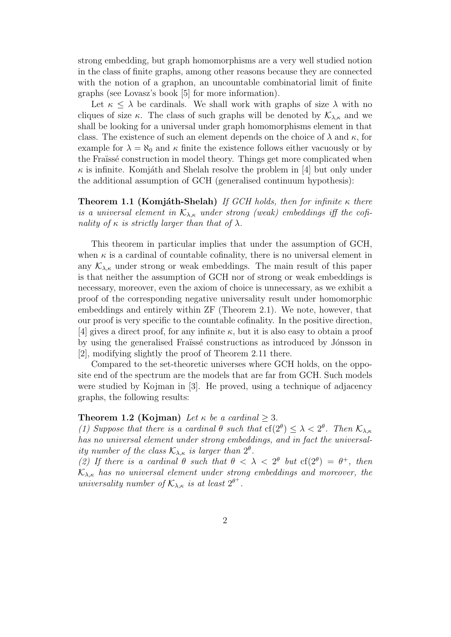strong embedding, but graph homomorphisms are a very well studied notion in the class of finite graphs, among other reasons because they are connected with the notion of a graphon, an uncountable combinatorial limit of finite graphs (see Lovasz's book [5] for more information).

Let  $\kappa \leq \lambda$  be cardinals. We shall work with graphs of size  $\lambda$  with no cliques of size κ. The class of such graphs will be denoted by  $\mathcal{K}_{\lambda,\kappa}$  and we shall be looking for a universal under graph homomorphisms element in that class. The existence of such an element depends on the choice of  $\lambda$  and  $\kappa$ , for example for  $\lambda = \aleph_0$  and  $\kappa$  finite the existence follows either vacuously or by the Fraïssé construction in model theory. Things get more complicated when  $\kappa$  is infinite. Komjáth and Shelah resolve the problem in [4] but only under the additional assumption of GCH (generalised continuum hypothesis):

**Theorem 1.1 (Komjáth-Shelah)** If GCH holds, then for infinite  $\kappa$  there is a universal element in  $K_{\lambda,\kappa}$  under strong (weak) embeddings iff the cofinality of  $\kappa$  is strictly larger than that of  $\lambda$ .

This theorem in particular implies that under the assumption of GCH, when  $\kappa$  is a cardinal of countable cofinality, there is no universal element in any  $\mathcal{K}_{\lambda,\kappa}$  under strong or weak embeddings. The main result of this paper is that neither the assumption of GCH nor of strong or weak embeddings is necessary, moreover, even the axiom of choice is unnecessary, as we exhibit a proof of the corresponding negative universality result under homomorphic embeddings and entirely within ZF (Theorem 2.1). We note, however, that our proof is very specific to the countable cofinality. In the positive direction, [4] gives a direct proof, for any infinite  $\kappa$ , but it is also easy to obtain a proof by using the generalised Fraïssé constructions as introduced by Jónsson in [2], modifying slightly the proof of Theorem 2.11 there.

Compared to the set-theoretic universes where GCH holds, on the opposite end of the spectrum are the models that are far from GCH. Such models were studied by Kojman in [3]. He proved, using a technique of adjacency graphs, the following results:

#### **Theorem 1.2 (Kojman)** Let  $\kappa$  be a cardinal  $> 3$ .

(1) Suppose that there is a cardinal  $\theta$  such that  $cf(2^{\theta}) \leq \lambda < 2^{\theta}$ . Then  $\mathcal{K}_{\lambda,\kappa}$ has no universal element under strong embeddings, and in fact the universality number of the class  $\mathcal{K}_{\lambda,\kappa}$  is larger than  $2^{\theta}$ .

(2) If there is a cardinal  $\theta$  such that  $\theta < \lambda < 2^{\theta}$  but  $cf(2^{\theta}) = \theta^+$ , then  $\mathcal{K}_{\lambda,\kappa}$  has no universal element under strong embeddings and moreover, the universality number of  $\mathcal{K}_{\lambda,\kappa}$  is at least  $2^{\theta^+}$ .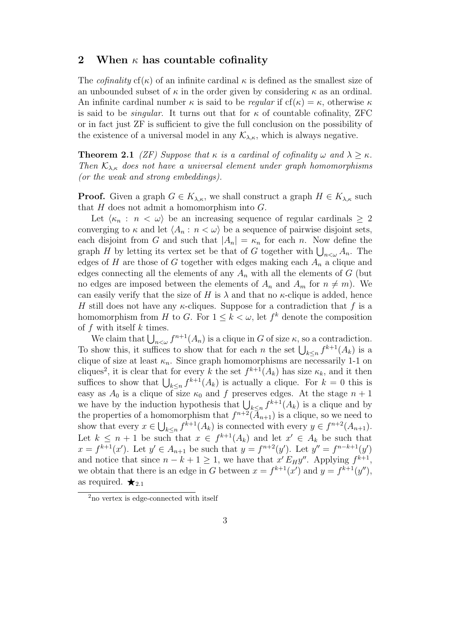### 2 When  $\kappa$  has countable cofinality

The *cofinality* cf( $\kappa$ ) of an infinite cardinal  $\kappa$  is defined as the smallest size of an unbounded subset of  $\kappa$  in the order given by considering  $\kappa$  as an ordinal. An infinite cardinal number  $\kappa$  is said to be *regular* if  $cf(\kappa) = \kappa$ , otherwise  $\kappa$ is said to be *singular*. It turns out that for  $\kappa$  of countable cofinality, ZFC or in fact just ZF is sufficient to give the full conclusion on the possibility of the existence of a universal model in any  $\mathcal{K}_{\lambda,\kappa}$ , which is always negative.

**Theorem 2.1** (ZF) Suppose that  $\kappa$  is a cardinal of cofinality  $\omega$  and  $\lambda > \kappa$ . Then  $\mathcal{K}_{\lambda,\kappa}$  does not have a universal element under graph homomorphisms (or the weak and strong embeddings).

**Proof.** Given a graph  $G \in K_{\lambda,\kappa}$ , we shall construct a graph  $H \in K_{\lambda,\kappa}$  such that  $H$  does not admit a homomorphism into  $G$ .

Let  $\langle \kappa_n : n < \omega \rangle$  be an increasing sequence of regular cardinals  $\geq 2$ converging to  $\kappa$  and let  $\langle A_n : n < \omega \rangle$  be a sequence of pairwise disjoint sets, each disjoint from G and such that  $|A_n| = \kappa_n$  for each n. Now define the graph H by letting its vertex set be that of G together with  $\bigcup_{n<\omega} A_n$ . The edges of H are those of G together with edges making each  $A_n$  a clique and edges connecting all the elements of any  $A_n$  with all the elements of G (but no edges are imposed between the elements of  $A_n$  and  $A_m$  for  $n \neq m$ ). We can easily verify that the size of H is  $\lambda$  and that no  $\kappa$ -clique is added, hence H still does not have any  $\kappa$ -cliques. Suppose for a contradiction that f is a homomorphism from H to G. For  $1 \leq k < \omega$ , let  $f^k$  denote the composition of  $f$  with itself  $k$  times.

We claim that  $\bigcup_{n<\omega}f^{n+1}(A_n)$  is a clique in G of size  $\kappa$ , so a contradiction. To show this, it suffices to show that for each n the set  $\bigcup_{k\leq n} f^{k+1}(A_k)$  is a clique of size at least  $\kappa_n$ . Since graph homomorphisms are necessarily 1-1 on cliques<sup>2</sup>, it is clear that for every k the set  $f^{k+1}(A_k)$  has size  $\kappa_k$ , and it then suffices to show that  $\bigcup_{k\leq n} f^{k+1}(A_k)$  is actually a clique. For  $k=0$  this is easy as  $A_0$  is a clique of size  $\kappa_0$  and f preserves edges. At the stage  $n+1$ we have by the induction hypothesis that  $\bigcup_{k\leq n} f^{k+1}(A_k)$  is a clique and by the properties of a homomorphism that  $f^{n+2}(\bar{A}_{n+1})$  is a clique, so we need to show that every  $x \in \bigcup_{k \leq n} f^{k+1}(A_k)$  is connected with every  $y \in f^{n+2}(A_{n+1})$ . Let  $k \leq n+1$  be such that  $x \in f^{k+1}(A_k)$  and let  $x' \in A_k$  be such that  $x = f^{k+1}(x')$ . Let  $y' \in A_{n+1}$  be such that  $y = f^{n+2}(y')$ . Let  $y'' = f^{n-k+1}(y')$ and notice that since  $n - k + 1 \geq 1$ , we have that  $x' E_H y''$ . Applying  $f^{k+1}$ , we obtain that there is an edge in G between  $x = f^{k+1}(x')$  and  $y = f^{k+1}(y'')$ , as required.  $\bigstar_{2.1}$ 

<sup>2</sup>no vertex is edge-connected with itself